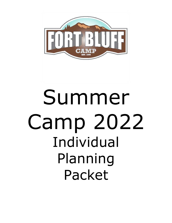

# Summer Camp 2022 Individual Planning Packet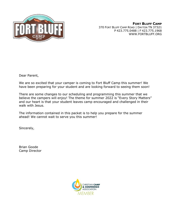

**FORT BLUFF CAMP** 370 FORT BLUFF CAMP ROAD | DAYTON TN 37321 P 423.775.0488 | F 423.775.1968 WWW.FORTBLUFF.ORG

Dear Parent,

We are so excited that your camper is coming to Fort Bluff Camp this summer! We have been preparing for your student and are looking forward to seeing them soon!

There are some changes to our scheduling and programming this summer that we believe the campers will enjoy! The theme for summer 2022 is "Every Story Matters" and our heart is that your student leaves camp encouraged and challenged in their walk with Jesus.

The information contained in this packet is to help you prepare for the summer ahead! We cannot wait to serve you this summer!

Sincerely,

Brian Goode Camp Director

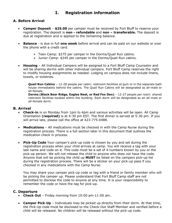# **I. Registration information**

## **A. Before Arrival**

- **Camper Deposit \$25.00** per camper must be received by Fort Bluff to reserve your registration. The deposit is **non - refundable** and **non – transferable.** The deposit is due at registration and is applied to the remaining balance.
- **Balance** is due in full **one week** before arrival and can be paid on our website or over the phone with a credit card.
	- ➢ Teen Camp: \$275 per camper in the Dorms/Quail Run cabins.
	- ➢ Junior Camp: \$245 per camper in the Dorms/Quail Run cabins.
- **Housing**  All Individual Campers will be assigned to a Fort Bluff Camp Counselor and will be sharing dorms with other individual campers. Fort Bluff Camp reserves the right to modify housing assignments as needed. Lodging on campus does not include linens, towels, or toiletries.

**Quail Run Cabins** – 12-28 people per cabin: restroom facilities at gym or in the separate bath house immediately behind the cabins. The Quail Run Cabins will be designated as all-male or all-female.

**Dorms (Black Bear Ridge, Eagles Nest, or Red Fox Den)** – 12-27 people per room: shared restroom facilities located within the building. Each dorm will be designated as an all-male or all-female dorm.

#### **B. Arrival**

- **Check-in** is on Monday from 1pm to 4pm and various activities will be open. All Camp Orientation **(required)** is at 4:30 pm EST. The first dinner is served at 5:30 pm. If you will arrive late, please call the office at 423-775-0488.
- **Medications**  All medications must be checked in with the Camp Nurse during the registration process. There is a full section later in this document that outlines the medication check in process.
- **Pick-Up Code** Your camper's pick-up code is chosen by you and set during the registration process when your child arrives at camp. You will receive a tag with your last name and code on it. This code must be a set of 4 numbers known by you or the pick-up person. We will not release the child to anyone who does not have the code. Anyone that will be picking the child up **MUST** be listed on the campers pick-up list during the registration process. There will be a sticker on your pick-up pass if you checked in any medications with the Camp Nurse.

You may share your camper pick-up code or tag with a friend or family member who will be picking the camper up. Please understand that Fort Bluff Camp staff are not permitted to disclose the code to anyone at any time. It is your responsibility to remember the code or have the tag for pick-up.

#### **C. Departure**

- **Check Out** Friday morning from 10:00 am-11:00 am.
- **Camper Pick**-**Up**  Individuals may be picked up directly from their dorm. At that time, the Pick-Up code must be disclosed to the Check-Out Staff Member and verified before a child will be released. No children will be released without the pick-up code.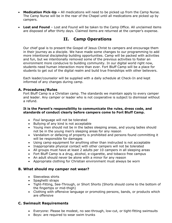- **Medication Pick-Up –** All medications will need to be picked up from the Camp Nurse. The Camp Nurse will be in the rear of the Chapel until all medications are picked up by campers.
- **Lost and Found** Lost and Found will be taken to the Camp Office. All unclaimed items are disposed of after thirty days. Claimed items are returned at the camper's expense.

# **II. Camp Operations**

Our chief goal is to present the Gospel of Jesus Christ to campers and encourage them in their journey as a disciple. We have made some changes to our programming to add more intentional discipleship building opportunities. Camp will be packed with activities and fun, but we intentionally removed some of the previous activities to foster an environment more conducive to building community. In our digital world right now, students need human interaction more than ever. Fort Bluff Camp will be a place for students to get out of the digital realm and build true friendships with other believers.

Each leader/counselor will be supplied with a daily schedule at Check-In and kept informed of any changes during camp.

#### **A. Procedures/Rules**

Fort Bluff Camp is a Christian camp. The standards we maintain apply to every camper and leader. Any camper or leader who is not cooperative is subject to dismissal without a refund.

#### **It is the Parent's responsibility to communicate the rules, dress code, and standards of conduct clearly before campers come to Fort Bluff Camp.**

- Foul language will not be tolerated
- Bullying of any kind is not acceptable
- Young men should not be in the ladies sleeping areas, and young ladies should not be in the young men's sleeping areas for any reason
- Vandalism or defacing of property is prohibited and persons found committing it will be responsible for damages
- Using camp equipment for anything other than instructed is not acceptable
- Inappropriate physical contact with other campers will not be tolerated
- All groups must have at least 2 adults per 10 campers in all sleeping areas
- Fort Bluff Camp is a drug, alcohol, e-cigarette, and tobacco free campus
- An adult should never be alone with a minor for any reason
- Appropriate clothing for Christian environment must always be worn

#### **B. What should my camper not wear?**

- Sleeveless shirts
- Spaghetti straps
- Tight-Fitting, See-Through, or Short Shorts (Shorts should come to the bottom of the fingertips or mid-thigh)
- Clothing with offensive language or promoting persons, bands, or products which are offensive

#### **C. Swimsuit Requirements**

- Everyone: Please be modest, no see-through, low-cut, or tight-fitting swimsuits
- Boys: are required to wear swim trunks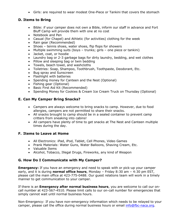• Girls: are required to wear modest One-Piece or Tankini that covers the stomach

#### **D. Items to Bring**

- Bible: if your camper does not own a Bible, inform our staff in advance and Fort Bluff Camp will provide them with one at no cost
- Notebook and Pen
- Casual (for Chapel) and Athletic (for activities) clothing for the week
- Rain gear (Recommended)
- Shoes tennis shoes, water shoes, flip flops for showers
- Multiple swimming suits (boys trunks; girls one piece or tankini)
- Jacket, coat, or hoodie
- Laundry bag or 2-3 garbage bags for dirty laundry, bedding, and wet clothes
- Pillow and sleeping bag or twin bedding
- Towels, beach towel, and washcloths
- Toiletries: Soap, Shampoo, Toothbrush, Toothpaste, Deodorant, Etc.
- Bug spray and Sunscreen
- Flashlight with batteries
- Spending money for Canteen and the Nest (Optional)
- Fishing gear (Optional)
- Basic First Aid Kit (Recommended)
- Spending Money for Cookies & Cream Ice Cream Truck on Thursday (Optional)

## **E. Can My Camper Bring Snacks?**

- Campers are always welcome to bring snacks to camp. However, due to food allergies, campers are not permitted to share their snacks.
- All snacks brought to camp should be in a sealed container to prevent camp critters from sneaking into cabins!
- All campers have plenty of time to get snacks at The Nest and Canteen multiple times during the day.

## **F. Items to Leave at Home**

- All Electronics: iPad, iPod, Tablet, Cell Phones, Video Games
- Prank Materials: Water Guns, Water Balloons, Shaving Cream, Etc.
- Valuable Items
- Alcohol, Tobacco, Illegal Drugs, Fireworks, any kind of Weapon

## **G. How Do I Communicate with My Camper?**

**Emergency:** If you have an emergency and need to speak with or pick-up your camper early, and it is during **normal office hours**, Monday – Friday 8:30 am – 4:30 pm EST, please call the main office at 423-775-0488. Our guest relations team will work in a timely manner to get communication to your camper.

If there is an **Emergency after normal business hours**, you are welcome to call our oncall number at 423-567-4510. Please limit calls to our on-call number for emergencies that simply cannot wait until normal business hours.

Non-Emergency: If you have non-emergency information which needs to be relayed to your camper, please call the office during normal business hours or email [info@fbc-naca.org.](mailto:info@fbc-naca.org)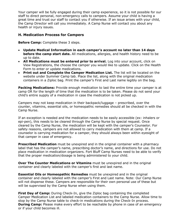Your camper will be fully engaged during their camp experience, so it is not possible for our staff to direct personal, non-emergency calls to campers. Assume your child is having a great time and trust our staff to contact you if otherwise. If an issue arises with your child, the Camp Director will call you immediately. A Camp Nurse will contact you about any health or injury issues.

#### **H. Medication Process for Campers**

**Before Camp:** Complete these 3 steps.

- **Update Medical Information in each camper's account no later than 14 days before the camp start date.** All medications, allergies, and health history need to be up to date.
- **All Medications must be entered prior to arrival.** Log into your account, click on View Registrations, the choose the camper you would like to update. Click on the Health Form to enter or update medications.
- **Print out and Complete the Camper Medication List.** The list will be located on the website under Summer Camp tab. Place the list, along with the original medication containers in a Ziploc bag. Print the camper's First and Last name legibly on the bag.

**Packing Medications:** Provide enough medication to last the entire time your camper is at camp OR for the length of time that the medication is to be taken. Please do not send your child's entire supply of a medication in case the medication is not picked up.

Campers may not keep medication in their backpack/luggage – prescribed, over the counter, vitamins, essential oils, or homeopathic remedies should all be checked in with the Camp Nurse.

If an exception is needed and the medication needs to be easily accessible (ex: inhalers or epi-pen), this needs to be cleared through the Camp Nurse by special request. Once cleared by the Camp Nurse, the medication will be kept with the camper's Counselor. For safety reasons, campers are not allowed to carry medication with them at camp. If a counselor is carrying medication for a camper, they should always been within eyesight of that camper in case of emergency.

**Prescribed Medication** must be unexpired and in the original container with a pharmacy label that has the camper's name, prescribing doctor's name, and directions for use. Do not place medication in medication organizers. Fort Bluff Camp Nurses need to be able to verify that the proper medication/dosage is being administered to your child.

**Over The Counter Medications or Vitamins** must be unexpired and in the original container and clearly labeled with the camper's first and last name.

**Essential Oils or Homeopathic Remedies** must be unexpired and in the original container and clearly labeled with the camper's First and Last name. Note: Our Camp Nurse will not dispense these. Campers are responsible for their own personal use of these but will be supervised by the Camp Nurse when using them.

**First Day of Camp:** During Check-In, give the Ziploc bag containing the completed Camper Medication List and labeled medication containers to the Camp Nurse. Allow time to stop by the Camp Nurse table to check-in medications during the Check-In process. **During Camp:** Please make every effort to be reachable by phone in case of an emergency or if your child becomes ill.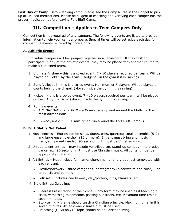Last Day of Camp: Before leaving camp, please see the Camp Nurse in the Chapel to pick up all unused medications. Please be diligent in checking and verifying each camper has the proper medication before leaving Fort Bluff Camp.

# **III. Competition – Applies to Teen Campers Only**

Competition is not required of any campers. The following events are listed to provide information to help your camper prepare. Special times will be set aside each day for competitive events, entered by choice only.

#### **A. Athletic Events**

Individual campers will be grouped together in a cabin/dorm. If they wish to participate in any of the athletic events, they may be placed with another church to make a combined team.

- 1. Ultimate Frisbee this is a co-ed event. 7 10 players required per team. Will be played on Field 1 by the Gym. (Dodgeball in the gym if it is raining)
- 2. Sand Volleyball this is a co-ed event. Maximum of 7 players. Will be played on courts behind the chapel. (Moved inside the gym if it is raining)
- 3. Kickball this is a co-ed event. 7 10 players required per team. Will be played on Field 1 by the Gym. (Moved inside the gym if it is raining)
- 4. Running events
	- a. *THE BIG BAD BLUFF RUN* a ½ mile race up and around the bluffs for the most adventurous.
	- b. *5k Race/fun run*  3.1-mile timed run around the Fort Bluff Campus.

#### **B. Fort Bluff's Got Talent**

- 1. Music entries Entries can be solos, duets, trios, quartets; small ensemble (5-9) and large ensemble/choir (10 or more). Entrant must bring any music track/equipment needed. 90 second limit, must be Christian music.
- 2. Unique talent entries may include ventriloquism, stand-up comedy, interpretive dance, etc. 90 second limit, must use Christian music. All content must be appropriate material.
- 3. Art Entries Must include full name, church name, and grade just completed with each entrant.
	- Pictures/Artwork three categories: photography (black/white and color), Pen or pencil, and painting.
	- Folk Art includes needlework, clay/pottery, rugs, blankets, etc.
- 4. Bible Entries/Guidelines
	- Clearest Presentation of the Gospel any form may be used as if teaching a class, witnessing to someone, passing out tracts, etc. Maximum time limit is seven minutes.
	- Storytelling theme should teach a Christian principle. Maximum time limit is seven minutes. At least one visual aid must be used.
	- Preaching (Guys only) topic should be on Christian living.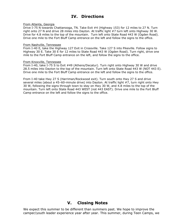# **IV. Directions**

#### From Atlanta, Georgia

Drive I-75 N towards Chattanooga, TN. Take Exit #4 (Highway 153) for 12 miles to 27 N. Turn right onto 27 N and drive 28 miles into Dayton. At traffic light #7 turn left onto Highway 30 W. Drive for 4.8 miles to the top of the mountain. Turn left onto State Road 443 W (Ogden Road). Drive one mile to the Fort Bluff Camp entrance on the left and follow the signs to the office.

#### From Nashville, Tennessee

From I-40 E, take the Highway 127 Exit in Crossville. Take 127 S into Pikeville. Follow signs to Highway 30 E. Take 30 E for 12 miles to State Road 443 W (Ogden Road). Turn right, drive one mile to the Fort Bluff Camp entrance on the left, and follow the signs to the office.

#### From Knoxville, Tennessee

From I-40, take I-75 S to Exit #49 (Athens/Decatur). Turn right onto Highway 30 W and drive 28.5 miles into Dayton to the top of the mountain. Turn left onto State Road 443 W (NOT 443 E). Drive one mile to the Fort Bluff Camp entrance on the left and follow the signs to the office.

From I-40 take Hwy 27 S (Harriman/Rockwood exit). Turn south onto Hwy 27 S and drive several miles (about a 45–60-minute drive) into Dayton. At traffic light #7, turn right onto Hwy 30 W, following the signs through town to stay on Hwy 30 W, and 4.8 miles to the top of the mountain. Turn left onto State Road 443 WEST (not 443 EAST). Drive one mile to the Fort Bluff Camp entrance on the left and follow the signs to the office.

## **V. Closing Notes**

We expect this summer to be different than summers past. We hope to improve the camper/youth leader experience year after year. This summer, during Teen Camps, we